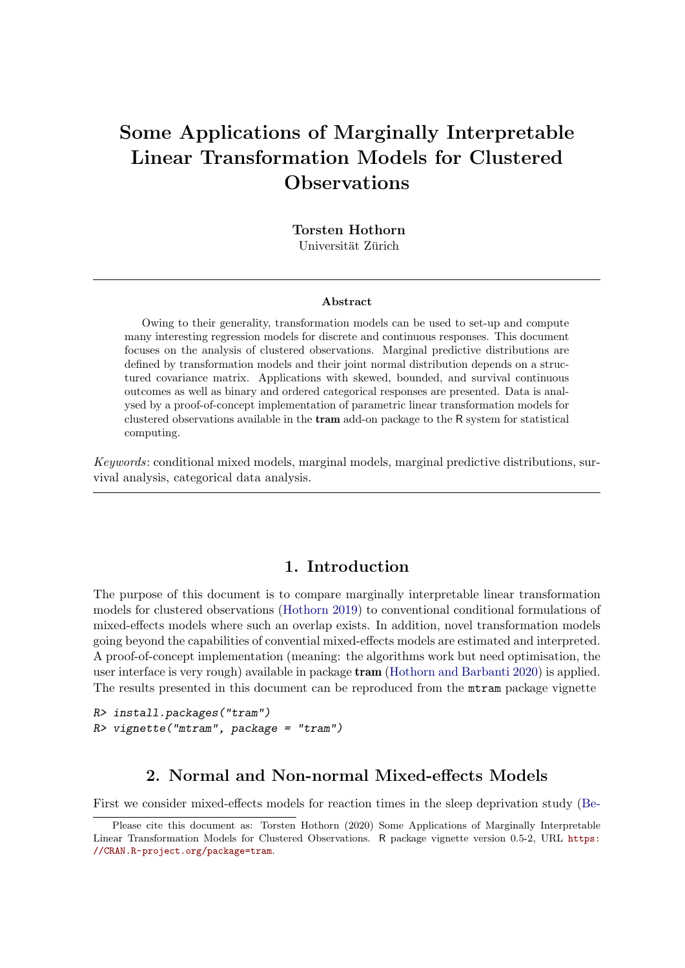# Some Applications of Marginally Interpretable Linear Transformation Models for Clustered Observations

Torsten Hothorn Universität Zürich

#### Abstract

Owing to their generality, transformation models can be used to set-up and compute many interesting regression models for discrete and continuous responses. This document focuses on the analysis of clustered observations. Marginal predictive distributions are defined by transformation models and their joint normal distribution depends on a structured covariance matrix. Applications with skewed, bounded, and survival continuous outcomes as well as binary and ordered categorical responses are presented. Data is analysed by a proof-of-concept implementation of parametric linear transformation models for clustered observations available in the tram add-on package to the R system for statistical computing.

*Keywords*: conditional mixed models, marginal models, marginal predictive distributions, survival analysis, categorical data analysis.

### 1. Introduction

The purpose of this document is to compare marginally interpretable linear transformation models for clustered observations [\(Hothorn 2019\)](#page-25-0) to conventional conditional formulations of mixed-effects models where such an overlap exists. In addition, novel transformation models going beyond the capabilities of convential mixed-effects models are estimated and interpreted. A proof-of-concept implementation (meaning: the algorithms work but need optimisation, the user interface is very rough) available in package tram [\(Hothorn and Barbanti 2020\)](#page-25-1) is applied. The results presented in this document can be reproduced from the mtram package vignette

```
R> install.packages("tram")
R> vignette("mtram", package = "tram")
```
# 2. Normal and Non-normal Mixed-effects Models

First we consider mixed-effects models for reaction times in the sleep deprivation study [\(Be-](#page-24-0)

[Please cite this document as: Torsten Hothorn \(2020\) Some Applications of Marginally Interpretable](#page-24-0) [Linear Transformation Models for Clustered Observations.](#page-24-0) R package vignette version 0.5-2, URL [https:](https://CRAN.R-project.org/package=tram) [//CRAN.R-project.org/package=tram](#page-24-0).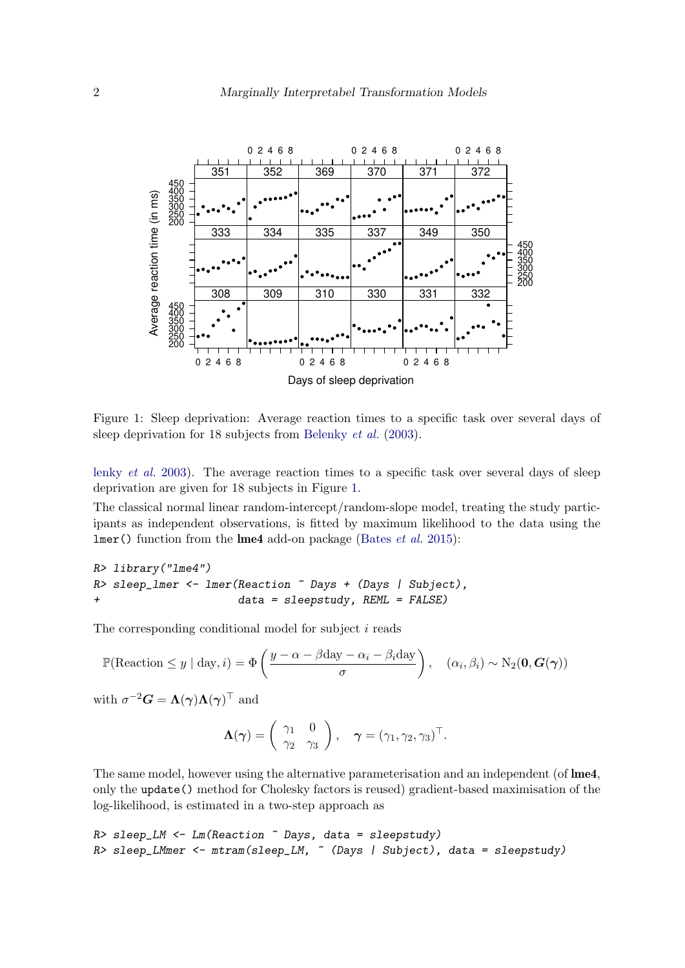

<span id="page-1-0"></span>Figure 1: Sleep deprivation: Average reaction times to a specific task over several days of sleep deprivation for 18 subjects from [Belenky](#page-24-0) *et al.* [\(2003\)](#page-24-0).

[lenky](#page-24-0) *et al.* [2003\)](#page-24-0). The average reaction times to a specific task over several days of sleep deprivation are given for 18 subjects in Figure [1.](#page-1-0)

The classical normal linear random-intercept/random-slope model, treating the study participants as independent observations, is fitted by maximum likelihood to the data using the lmer() function from the lme4 add-on package [\(Bates](#page-24-1) *et al.* [2015\)](#page-24-1):

```
R> library("lme4")
R> sleep_lmer <- lmer(Reaction ~ Days + (Days | Subject),
+ data = sleepstudy, REML = FALSE)
```
The corresponding conditional model for subject  $i$  reads

$$
\mathbb{P}(\text{Reaction} \leq y \mid \text{day}, i) = \Phi\left(\frac{y - \alpha - \beta \text{day} - \alpha_i - \beta_i \text{day}}{\sigma}\right), \quad (\alpha_i, \beta_i) \sim N_2(\mathbf{0}, \mathbf{G}(\boldsymbol{\gamma}))
$$

with  $\sigma^{-2}G = \Lambda(\gamma)\Lambda(\gamma)^{\top}$  and

$$
\Lambda(\gamma) = \begin{pmatrix} \gamma_1 & 0 \\ \gamma_2 & \gamma_3 \end{pmatrix}, \quad \gamma = (\gamma_1, \gamma_2, \gamma_3)^\top.
$$

The same model, however using the alternative parameterisation and an independent (of **lme4**, only the update() method for Cholesky factors is reused) gradient-based maximisation of the log-likelihood, is estimated in a two-step approach as

```
R> sleep_LM <- Lm(Reaction ~ Days, data = sleepstudy)
R> sleep_LMmer <- mtram(sleep_LM, ~ (Days | Subject), data = sleepstudy)
```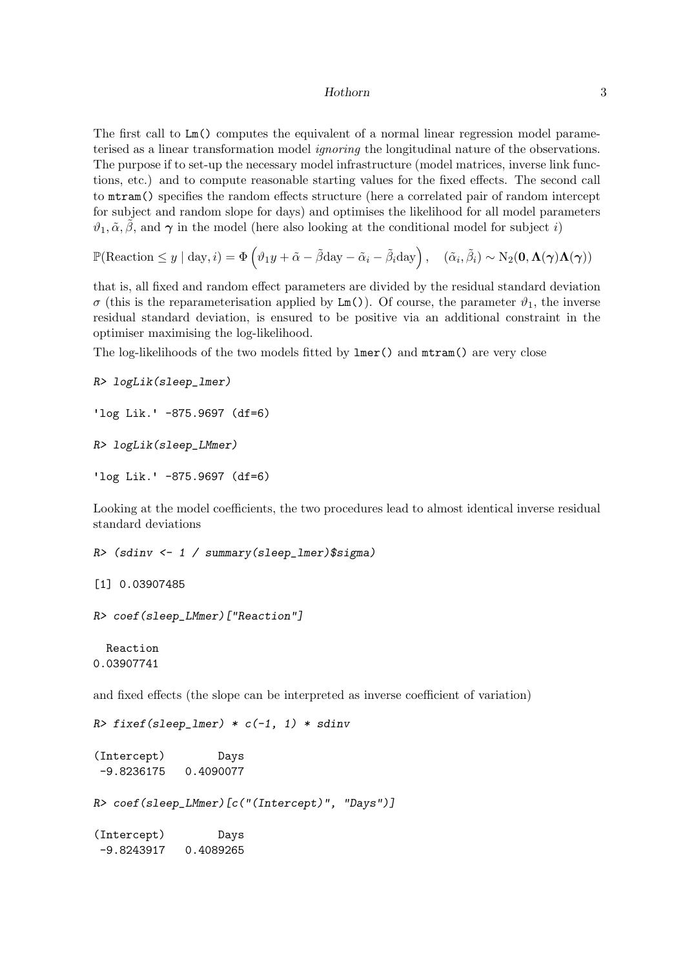The first call to Lm() computes the equivalent of a normal linear regression model parameterised as a linear transformation model *ignoring* the longitudinal nature of the observations. The purpose if to set-up the necessary model infrastructure (model matrices, inverse link functions, etc.) and to compute reasonable starting values for the fixed effects. The second call to mtram() specifies the random effects structure (here a correlated pair of random intercept for subject and random slope for days) and optimises the likelihood for all model parameters  $\vartheta_1, \tilde{\alpha}, \tilde{\beta}$ , and  $\gamma$  in the model (here also looking at the conditional model for subject i)

$$
\mathbb{P}(\text{Reaction} \le y \mid \text{day}, i) = \Phi\left(\vartheta_1 y + \tilde{\alpha} - \tilde{\beta} \text{day} - \tilde{\alpha}_i - \tilde{\beta}_i \text{day}\right), \quad (\tilde{\alpha}_i, \tilde{\beta}_i) \sim \text{N}_2(\mathbf{0}, \mathbf{\Lambda}(\boldsymbol{\gamma})\mathbf{\Lambda}(\boldsymbol{\gamma}))
$$

that is, all fixed and random effect parameters are divided by the residual standard deviation σ (this is the reparameterisation applied by Lm()). Of course, the parameter  $\vartheta_1$ , the inverse residual standard deviation, is ensured to be positive via an additional constraint in the optimiser maximising the log-likelihood.

The log-likelihoods of the two models fitted by lmer() and mtram() are very close

```
R> logLik(sleep_lmer)
```

```
'log Lik.' -875.9697 (df=6)
```
*R> logLik(sleep\_LMmer)*

'log Lik.' -875.9697 (df=6)

Looking at the model coefficients, the two procedures lead to almost identical inverse residual standard deviations

```
R> (sdinv <- 1 / summary(sleep_lmer)$sigma)
```

```
[1] 0.03907485
```

```
R> coef(sleep_LMmer)["Reaction"]
```

```
Reaction
0.03907741
```
and fixed effects (the slope can be interpreted as inverse coefficient of variation)

```
R> fixef(sleep_lmer) * c(-1, 1) * sdinv
```
(Intercept) Days -9.8236175 0.4090077

*R> coef(sleep\_LMmer)[c("(Intercept)", "Days")]*

(Intercept) Days -9.8243917 0.4089265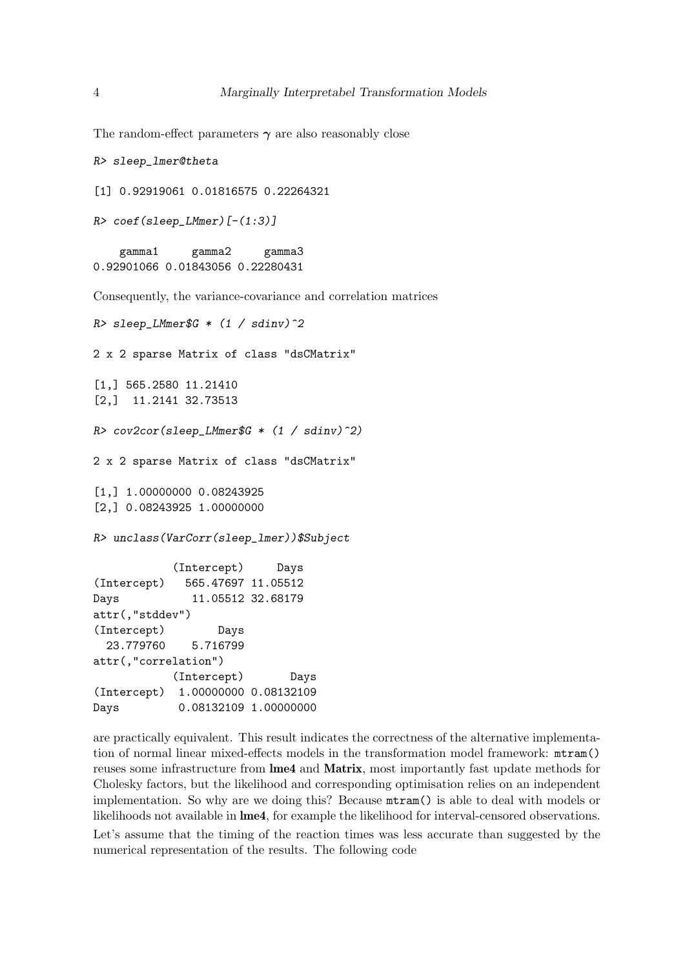The random-effect parameters  $\gamma$  are also reasonably close

```
R> sleep_lmer@theta
```
[1] 0.92919061 0.01816575 0.22264321

```
R> coef(sleep_LMmer)[-(1:3)]
```
gamma1 gamma2 gamma3 0.92901066 0.01843056 0.22280431

Consequently, the variance-covariance and correlation matrices

```
R> sleep_LMmer$G * (1 / sdinv)^2
2 x 2 sparse Matrix of class "dsCMatrix"
[1,] 565.2580 11.21410
[2,] 11.2141 32.73513
R> cov2cor(sleep_LMmer$G * (1 / sdinv)^2)
2 x 2 sparse Matrix of class "dsCMatrix"
[1,] 1.00000000 0.08243925
[2,] 0.08243925 1.00000000
R> unclass(VarCorr(sleep_lmer))$Subject
           (Intercept) Days
(Intercept) 565.47697 11.05512
Days 11.05512 32.68179
attr(,"stddev")
(Intercept) Days
  23.779760 5.716799
attr(,"correlation")
           (Intercept) Days
(Intercept) 1.00000000 0.08132109
Days 0.08132109 1.00000000
```
are practically equivalent. This result indicates the correctness of the alternative implementation of normal linear mixed-effects models in the transformation model framework: mtram() reuses some infrastructure from lme4 and Matrix, most importantly fast update methods for Cholesky factors, but the likelihood and corresponding optimisation relies on an independent implementation. So why are we doing this? Because mtram() is able to deal with models or likelihoods not available in lme4, for example the likelihood for interval-censored observations.

Let's assume that the timing of the reaction times was less accurate than suggested by the numerical representation of the results. The following code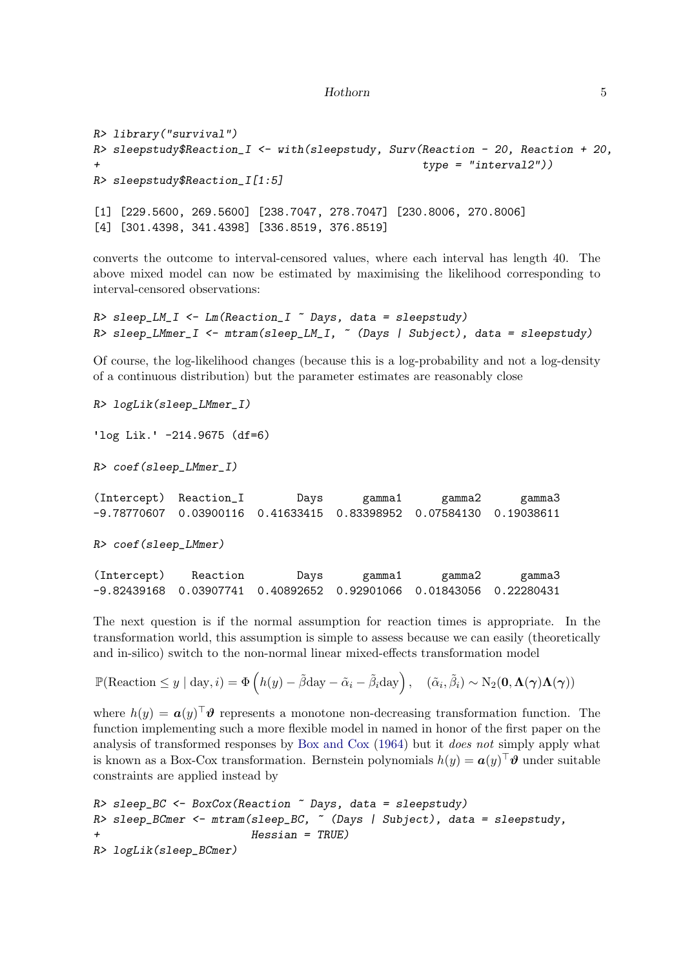```
R> library("survival")
R> sleepstudy$Reaction_I <- with(sleepstudy, Surv(Reaction - 20, Reaction + 20,
                                                   + type = "interval2"))
R> sleepstudy$Reaction_I[1:5]
[1] [229.5600, 269.5600] [238.7047, 278.7047] [230.8006, 270.8006]
[4] [301.4398, 341.4398] [336.8519, 376.8519]
```
converts the outcome to interval-censored values, where each interval has length 40. The above mixed model can now be estimated by maximising the likelihood corresponding to interval-censored observations:

```
R> sleep_LM_I <- Lm(Reaction_I ~ Days, data = sleepstudy)
R> sleep_LMmer_I <- mtram(sleep_LM_I, ~ (Days | Subject), data = sleepstudy)
```
Of course, the log-likelihood changes (because this is a log-probability and not a log-density of a continuous distribution) but the parameter estimates are reasonably close

*R> logLik(sleep\_LMmer\_I)*

 $\log$  Lik.  $-214.9675$  (df=6)

*R> coef(sleep\_LMmer\_I)*

(Intercept) Reaction\_I Days gamma1 gamma2 gamma3 -9.78770607 0.03900116 0.41633415 0.83398952 0.07584130 0.19038611

*R> coef(sleep\_LMmer)*

| (Intercept) | Reaction | Days | gamma1 | gamma2                                                                       | gamma3 |
|-------------|----------|------|--------|------------------------------------------------------------------------------|--------|
|             |          |      |        | -9.82439168   0.03907741   0.40892652   0.92901066   0.01843056   0.22280431 |        |

The next question is if the normal assumption for reaction times is appropriate. In the transformation world, this assumption is simple to assess because we can easily (theoretically and in-silico) switch to the non-normal linear mixed-effects transformation model

```
\mathbb{P}(\text{Reaction} \leq y \mid \text{day}, i) = \Phi\left(h(y) - \tilde{\beta}\text{day} - \tilde{\alpha}_i - \tilde{\beta}_i\text{day}\right), \quad (\tilde{\alpha}_i, \tilde{\beta}_i) \sim \text{N}_2(\mathbf{0}, \mathbf{\Lambda}(\boldsymbol{\gamma})\mathbf{\Lambda}(\boldsymbol{\gamma}))
```
where  $h(y) = \boldsymbol{a}(y)^\top \boldsymbol{\vartheta}$  represents a monotone non-decreasing transformation function. The function implementing such a more flexible model in named in honor of the first paper on the analysis of transformed responses by [Box and Cox](#page-24-2) [\(1964\)](#page-24-2) but it *does not* simply apply what is known as a Box-Cox transformation. Bernstein polynomials  $h(y) = a(y)^\top \mathbf{\hat{y}}$  under suitable constraints are applied instead by

```
R> sleep_BC <- BoxCox(Reaction ~ Days, data = sleepstudy)
R> sleep_BCmer <- mtram(sleep_BC, ~ (Days | Subject), data = sleepstudy,
+ Hessian = TRUE)
R> logLik(sleep_BCmer)
```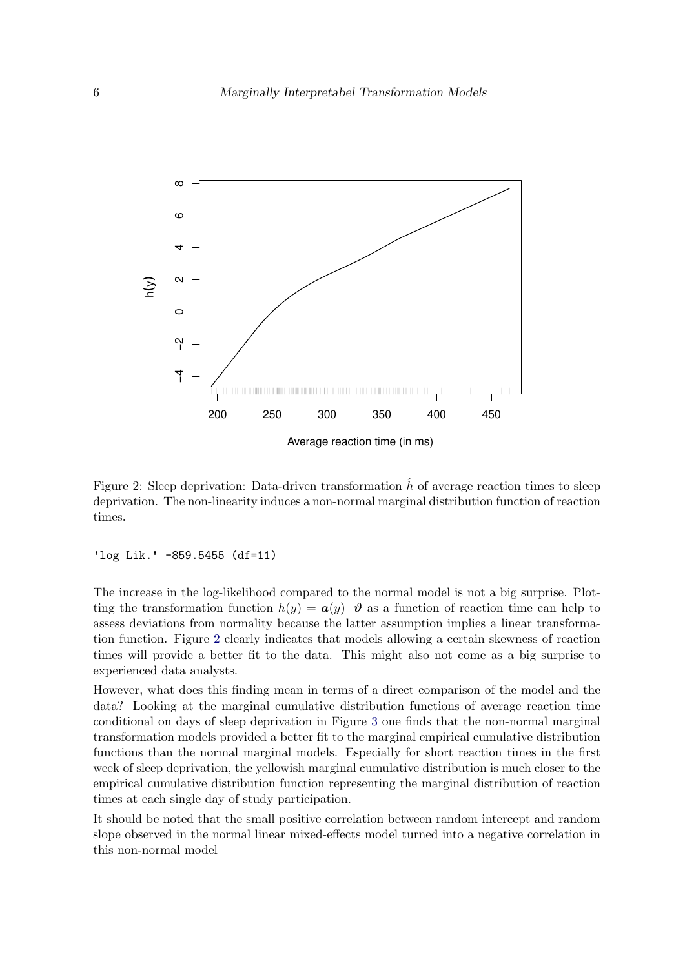

<span id="page-5-0"></span>Figure 2: Sleep deprivation: Data-driven transformation  $\hat{h}$  of average reaction times to sleep deprivation. The non-linearity induces a non-normal marginal distribution function of reaction times.

 $'$ log Lik.' -859.5455 (df=11)

The increase in the log-likelihood compared to the normal model is not a big surprise. Plotting the transformation function  $h(y) = a(y)^\top \theta$  as a function of reaction time can help to assess deviations from normality because the latter assumption implies a linear transformation function. Figure [2](#page-5-0) clearly indicates that models allowing a certain skewness of reaction times will provide a better fit to the data. This might also not come as a big surprise to experienced data analysts.

However, what does this finding mean in terms of a direct comparison of the model and the data? Looking at the marginal cumulative distribution functions of average reaction time conditional on days of sleep deprivation in Figure [3](#page-6-0) one finds that the non-normal marginal transformation models provided a better fit to the marginal empirical cumulative distribution functions than the normal marginal models. Especially for short reaction times in the first week of sleep deprivation, the yellowish marginal cumulative distribution is much closer to the empirical cumulative distribution function representing the marginal distribution of reaction times at each single day of study participation.

It should be noted that the small positive correlation between random intercept and random slope observed in the normal linear mixed-effects model turned into a negative correlation in this non-normal model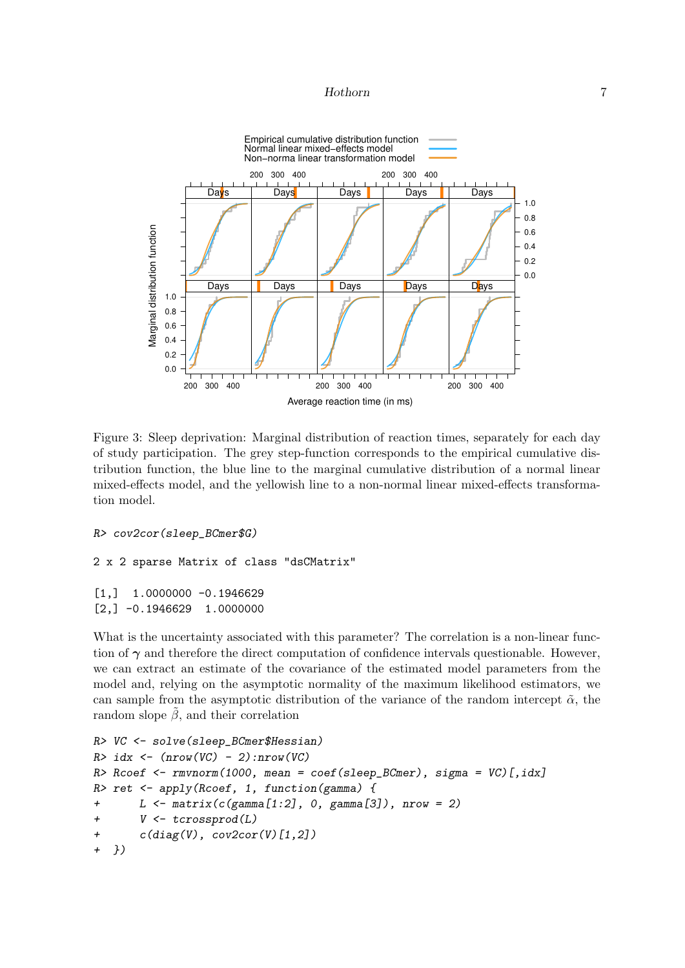

<span id="page-6-0"></span>Figure 3: Sleep deprivation: Marginal distribution of reaction times, separately for each day of study participation. The grey step-function corresponds to the empirical cumulative distribution function, the blue line to the marginal cumulative distribution of a normal linear mixed-effects model, and the yellowish line to a non-normal linear mixed-effects transformation model.

```
R> cov2cor(sleep_BCmer$G)
```
2 x 2 sparse Matrix of class "dsCMatrix"

```
[1,] 1.0000000 -0.1946629
[2,] -0.1946629 1.0000000
```
What is the uncertainty associated with this parameter? The correlation is a non-linear function of  $\gamma$  and therefore the direct computation of confidence intervals questionable. However, we can extract an estimate of the covariance of the estimated model parameters from the model and, relying on the asymptotic normality of the maximum likelihood estimators, we can sample from the asymptotic distribution of the variance of the random intercept  $\tilde{\alpha}$ , the random slope  $\beta$ , and their correlation

```
R> VC <- solve(sleep_BCmer$Hessian)
R> idx <- (nrow(VC) - 2):nrow(VC)
R> Rcoef <- rmvnorm(1000, mean = coef(sleep_BCmer), sigma = VC)[,idx]
R> ret <- apply(Rcoef, 1, function(gamma) {
+ L <- matrix(c(gamma[1:2], 0, gamma[3]), nrow = 2)
+ V <- tcrossprod(L)
+ c(diag(V), cov2cor(V)[1,2])
+ })
```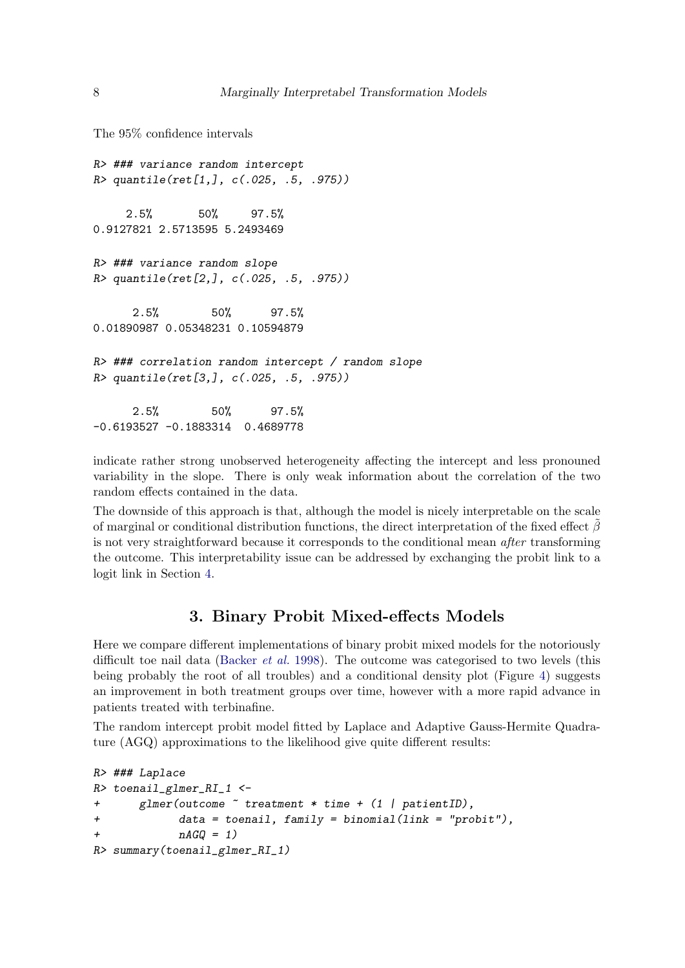The 95% confidence intervals

```
R> ### variance random intercept
R> quantile(ret[1,], c(.025, .5, .975))
    2.5% 50% 97.5%
0.9127821 2.5713595 5.2493469
R> ### variance random slope
R> quantile(ret[2,], c(.025, .5, .975))
     2.5% 50% 97.5%
0.01890987 0.05348231 0.10594879
R> ### correlation random intercept / random slope
R> quantile(ret[3,], c(.025, .5, .975))
     2.5% 50% 97.5%
-0.6193527 -0.1883314 0.4689778
```
indicate rather strong unobserved heterogeneity affecting the intercept and less pronouned variability in the slope. There is only weak information about the correlation of the two random effects contained in the data.

The downside of this approach is that, although the model is nicely interpretable on the scale of marginal or conditional distribution functions, the direct interpretation of the fixed effect  $\beta$ is not very straightforward because it corresponds to the conditional mean *after* transforming the outcome. This interpretability issue can be addressed by exchanging the probit link to a logit link in Section [4.](#page-15-0)

# 3. Binary Probit Mixed-effects Models

Here we compare different implementations of binary probit mixed models for the notoriously difficult toe nail data [\(Backer](#page-24-3) *et al.* [1998\)](#page-24-3). The outcome was categorised to two levels (this being probably the root of all troubles) and a conditional density plot (Figure [4\)](#page-8-0) suggests an improvement in both treatment groups over time, however with a more rapid advance in patients treated with terbinafine.

The random intercept probit model fitted by Laplace and Adaptive Gauss-Hermite Quadrature (AGQ) approximations to the likelihood give quite different results:

```
R> ### Laplace
R> toenail_glmer_RI_1 <-
+ glmer(outcome ~ treatment * time + (1 | patientID),
+ data = toenail, family = binomial(link = "probit"),
+ nAGQ = 1)
R> summary(toenail_glmer_RI_1)
```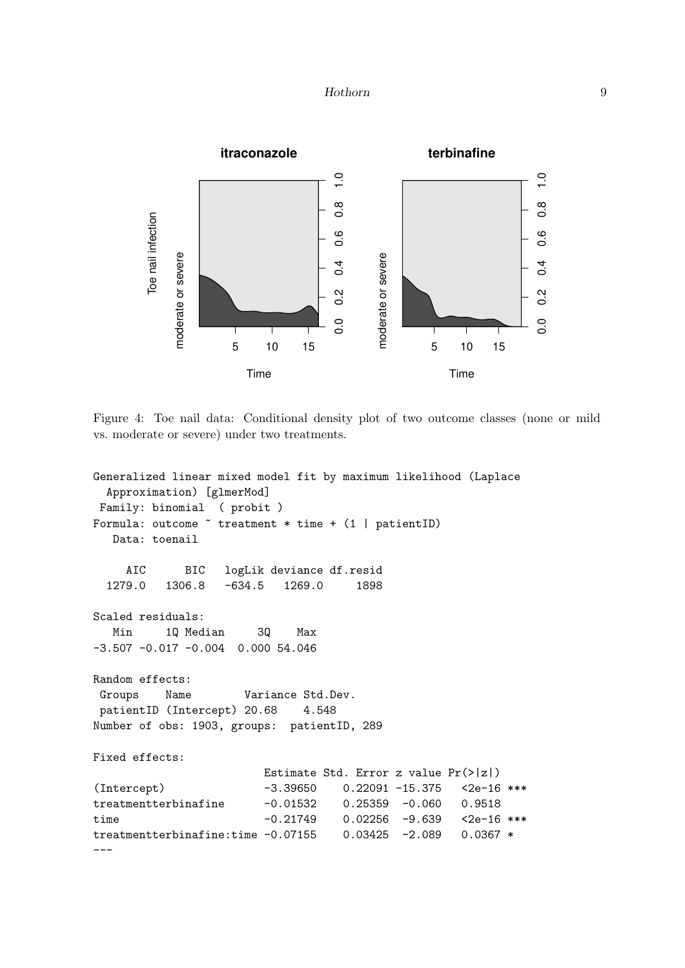

<span id="page-8-0"></span>Figure 4: Toe nail data: Conditional density plot of two outcome classes (none or mild vs. moderate or severe) under two treatments.

```
Generalized linear mixed model fit by maximum likelihood (Laplace
 Approximation) [glmerMod]
Family: binomial ( probit )
Formula: outcome \tilde{ } treatment * time + (1 | patientID)
  Data: toenail
    AIC BIC logLik deviance df.resid
 1279.0 1306.8 -634.5 1269.0 1898
Scaled residuals:
  Min 1Q Median 3Q Max
-3.507 -0.017 -0.004 0.000 54.046
Random effects:
Groups Name Variance Std.Dev.
patientID (Intercept) 20.68 4.548
Number of obs: 1903, groups: patientID, 289
Fixed effects:
                       Estimate Std. Error z value Pr(>|z|)
(Intercept) -3.39650 0.22091 -15.375 <2e-16 ***
treatmentterbinafine -0.01532 0.25359 -0.060 0.9518
time -0.21749 0.02256 -9.639 <2e-16 ***
treatmentterbinafine:time -0.07155 0.03425 -2.089 0.0367 *
---
```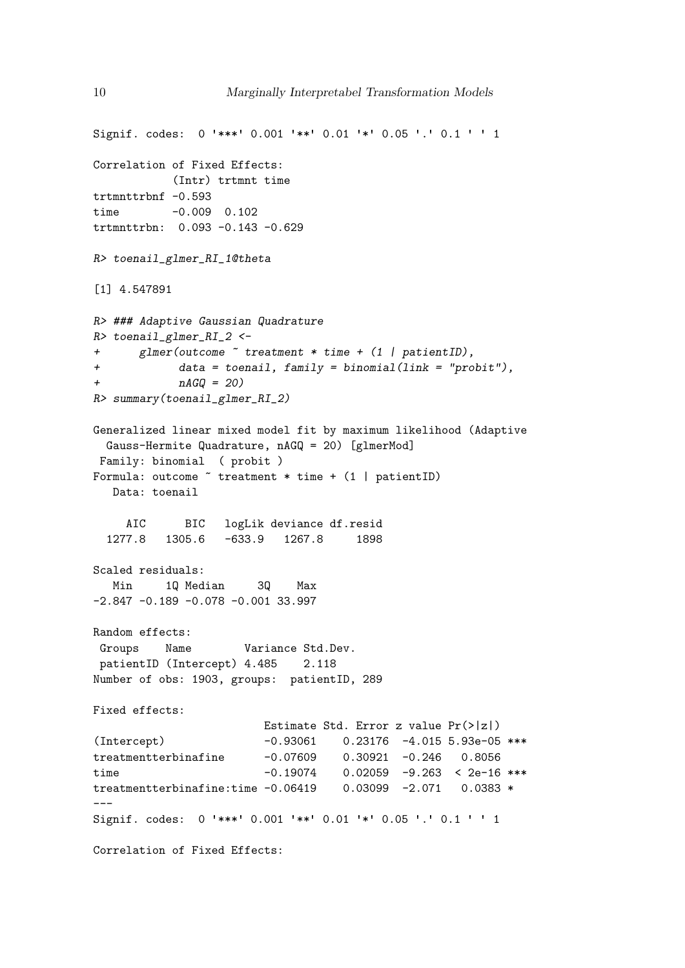```
Signif. codes: 0 '***' 0.001 '**' 0.01 '*' 0.05 '.' 0.1 ' ' 1
Correlation of Fixed Effects:
           (Intr) trtmnt time
trtmnttrbnf -0.593
time -0.009 0.102
trtmnttrbn: 0.093 -0.143 -0.629
R> toenail_glmer_RI_1@theta
[1] 4.547891
R> ### Adaptive Gaussian Quadrature
R> toenail_glmer_RI_2 <-
+ glmer(outcome ~ treatment * time + (1 | patientID),
+ data = toenail, family = binomial(link = "probit"),
+ nAGQ = 20)
R> summary(toenail_glmer_RI_2)
Generalized linear mixed model fit by maximum likelihood (Adaptive
 Gauss-Hermite Quadrature, nAGQ = 20) [glmerMod]
Family: binomial ( probit )
Formula: outcome \tilde{ } treatment * time + (1 | patientID)
  Data: toenail
    AIC BIC logLik deviance df.resid
 1277.8 1305.6 -633.9 1267.8 1898
Scaled residuals:
  Min 1Q Median 3Q Max
-2.847 -0.189 -0.078 -0.001 33.997
Random effects:
Groups Name Variance Std.Dev.
patientID (Intercept) 4.485 2.118
Number of obs: 1903, groups: patientID, 289
Fixed effects:
                       Estimate Std. Error z value Pr(>|z|)
(Intercept) -0.93061 0.23176 -4.015 5.93e-05 ***
treatmentterbinafine -0.07609 0.30921 -0.246 0.8056
time -0.19074 0.02059 -9.263 < 2e-16 ***
treatmentterbinafine:time -0.06419 0.03099 -2.071 0.0383 *
---Signif. codes: 0 '***' 0.001 '**' 0.01 '*' 0.05 '.' 0.1 ' ' 1
Correlation of Fixed Effects:
```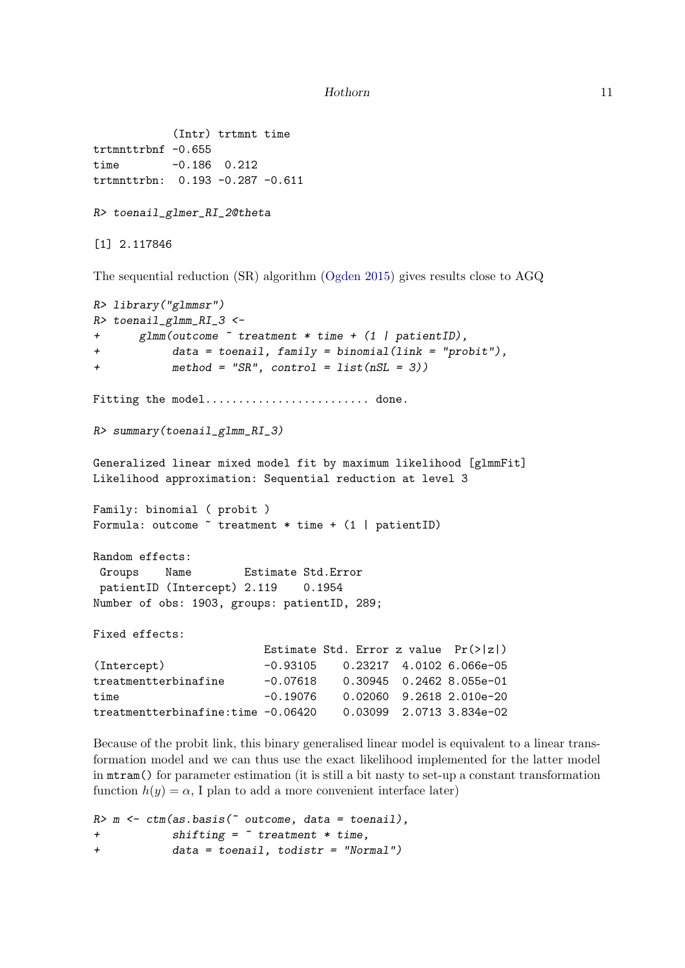```
(Intr) trtmnt time
trtmnttrbnf -0.655
time -0.186 0.212
trtmnttrbn: 0.193 -0.287 -0.611
R> toenail_glmer_RI_2@theta
[1] 2.117846
The sequential reduction (SR) algorithm (Ogden 2015) gives results close to AGQ
R> library("glmmsr")
R> toenail_glmm_RI_3 <-
+ glmm(outcome ~ treatment * time + (1 | patientID),
+ data = toenail, family = binomial(link = "probit"),
+ method = "SR", control = list(nSL = 3))
Fitting the model......................... done.
R> summary(toenail_glmm_RI_3)
Generalized linear mixed model fit by maximum likelihood [glmmFit]
Likelihood approximation: Sequential reduction at level 3
Family: binomial ( probit )
Formula: outcome \tilde{ } treatment * time + (1 | patientID)
Random effects:
Groups Name Estimate Std.Error
patientID (Intercept) 2.119 0.1954
Number of obs: 1903, groups: patientID, 289;
Fixed effects:
                        Estimate Std. Error z value Pr(>|z|)
(Intercept) -0.93105 0.23217 4.0102 6.066e-05
treatmentterbinafine -0.07618 0.30945 0.2462 8.055e-01
time -0.19076 0.02060 9.2618 2.010e-20
treatmentterbinafine:time -0.06420 0.03099 2.0713 3.834e-02
```
Because of the probit link, this binary generalised linear model is equivalent to a linear transformation model and we can thus use the exact likelihood implemented for the latter model in mtram() for parameter estimation (it is still a bit nasty to set-up a constant transformation function  $h(y) = \alpha$ , I plan to add a more convenient interface later)

```
R> m <- ctm(as.basis(~ outcome, data = toenail),
+ shifting = ~ treatment * time,
+ data = toenail, todistr = "Normal")
```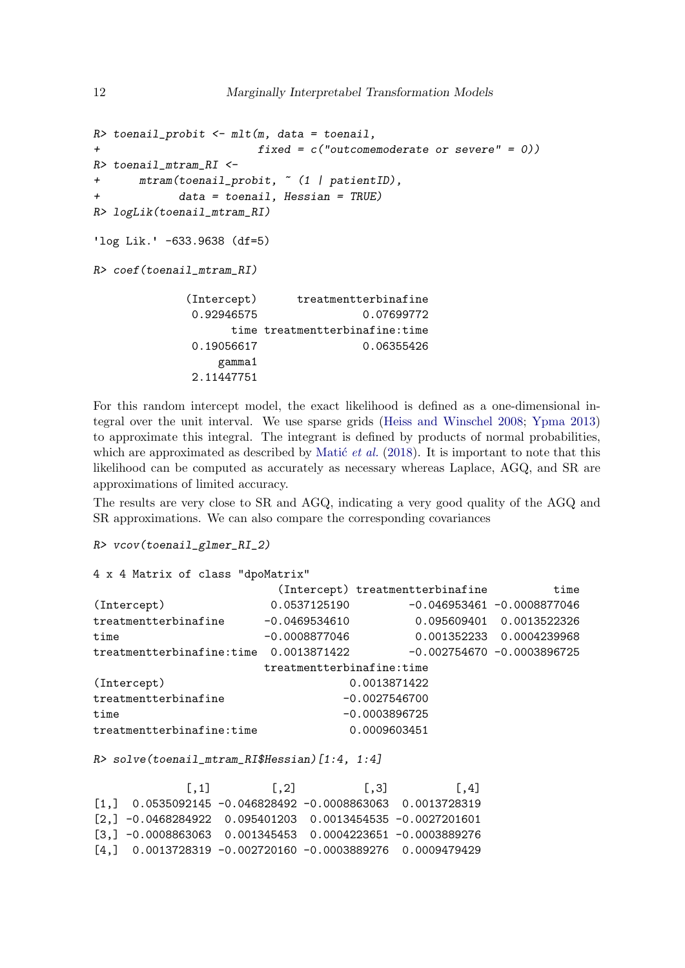```
R> toenail_probit <- mlt(m, data = toenail,
+ fixed = c("outcomemoderate or severe" = 0))
R> toenail_mtram_RI <-
+ mtram(toenail_probit, ~ (1 | patientID),
+ data = toenail, Hessian = TRUE)
R> logLik(toenail_mtram_RI)
'log Lik.' -633.9638 (df=5)
R> coef(toenail_mtram_RI)
            (Intercept) treatmentterbinafine
            0.92946575 0.07699772
                  time treatmentterbinafine:time
            0.19056617 0.06355426
                gamma1
             2.11447751
```
For this random intercept model, the exact likelihood is defined as a one-dimensional integral over the unit interval. We use sparse grids [\(Heiss and Winschel 2008;](#page-25-3) [Ypma 2013\)](#page-25-4) to approximate this integral. The integrant is defined by products of normal probabilities, which are approximated as described by Matic *et al.* [\(2018\)](#page-25-5). It is important to note that this likelihood can be computed as accurately as necessary whereas Laplace, AGQ, and SR are approximations of limited accuracy.

The results are very close to SR and AGQ, indicating a very good quality of the AGQ and SR approximations. We can also compare the corresponding covariances

```
R> vcov(toenail_glmer_RI_2)
```

```
4 x 4 Matrix of class "dpoMatrix"
```

|                                        |                           | (Intercept) treatmentterbinafine | time                          |
|----------------------------------------|---------------------------|----------------------------------|-------------------------------|
| (Intercept)                            | 0.0537125190              |                                  | $-0.046953461 - 0.0008877046$ |
| treatmentterbinafine                   | $-0.0469534610$           |                                  | 0.095609401 0.0013522326      |
| time                                   | $-0.0008877046$           |                                  | 0.001352233 0.0004239968      |
| treatmentterbinafine:time 0.0013871422 |                           |                                  | $-0.002754670 -0.0003896725$  |
|                                        | treatmentterbinafine:time |                                  |                               |
| (Intercept)                            |                           | 0.0013871422                     |                               |
| treatmentterbinafine                   | $-0.0027546700$           |                                  |                               |
| time                                   | $-0.0003896725$           |                                  |                               |
| treatmentterbinafine:time              | 0.0009603451              |                                  |                               |

*R> solve(toenail\_mtram\_RI\$Hessian)[1:4, 1:4]*

| $\lceil .1 \rceil$                                                                    | $\lceil .2 \rceil$ | $\lceil .3 \rceil$ | $\lceil .4 \rceil$ |
|---------------------------------------------------------------------------------------|--------------------|--------------------|--------------------|
| $[1,]$ 0.0535092145 -0.046828492 -0.0008863063 0.0013728319                           |                    |                    |                    |
| $\lceil 2, 1 \rceil$ -0.0468284922 0.095401203 0.0013454535 -0.0027201601             |                    |                    |                    |
| $\lceil 3, 1 \rceil$ -0.0008863063     0.001345453     0.0004223651     -0.0003889276 |                    |                    |                    |
|                                                                                       |                    |                    |                    |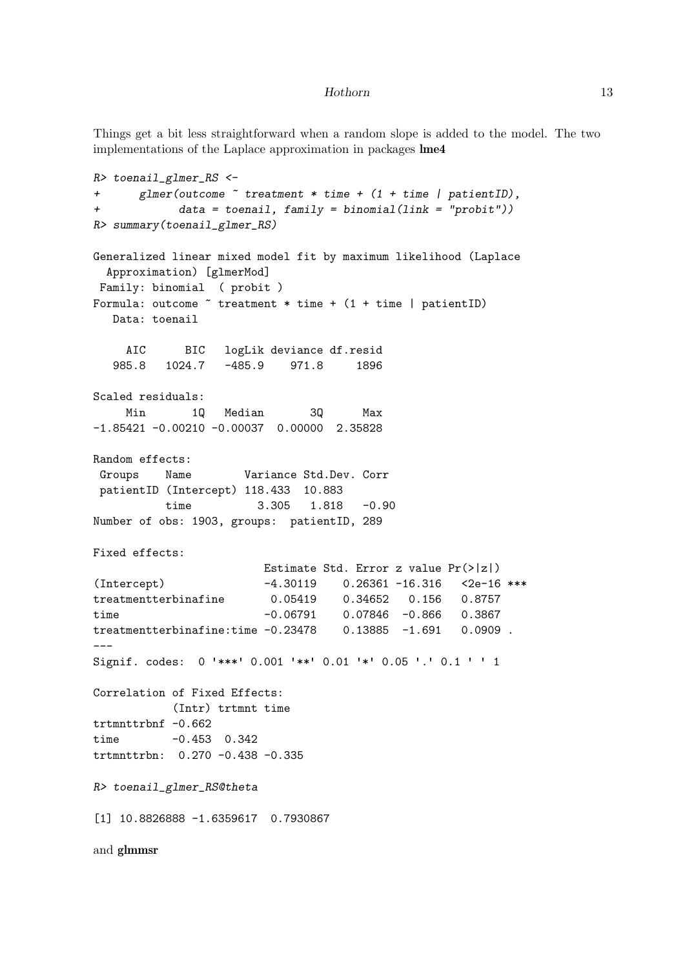Things get a bit less straightforward when a random slope is added to the model. The two implementations of the Laplace approximation in packages lme4

```
R> toenail_glmer_RS <-
+ glmer(outcome ~ treatment * time + (1 + time | patientID),
+ data = toenail, family = binomial(link = "probit"))
R> summary(toenail_glmer_RS)
Generalized linear mixed model fit by maximum likelihood (Laplace
 Approximation) [glmerMod]
Family: binomial ( probit )
Formula: outcome \tilde{ } treatment * time + (1 + time | patientID)
  Data: toenail
    AIC BIC logLik deviance df.resid
  985.8 1024.7 -485.9 971.8 1896
Scaled residuals:
    Min 1Q Median 3Q Max
-1.85421 -0.00210 -0.00037 0.00000 2.35828Random effects:
Groups Name Variance Std.Dev. Corr
patientID (Intercept) 118.433 10.883
         time 3.305 1.818 -0.90
Number of obs: 1903, groups: patientID, 289
Fixed effects:
                       Estimate Std. Error z value Pr(>|z|)
(Intercept) -4.30119 0.26361 -16.316 <2e-16 ***
treatmentterbinafine 0.05419 0.34652 0.156 0.8757
time -0.06791 0.07846 -0.866 0.3867
treatmentterbinafine:time -0.23478 0.13885 -1.691 0.0909 .
---
Signif. codes: 0 '***' 0.001 '**' 0.01 '*' 0.05 '.' 0.1 ' ' 1
Correlation of Fixed Effects:
          (Intr) trtmnt time
trtmnttrbnf -0.662
time -0.453 0.342
trtmnttrbn: 0.270 -0.438 -0.335
R> toenail_glmer_RS@theta
[1] 10.8826888 -1.6359617 0.7930867
and glmmsr
```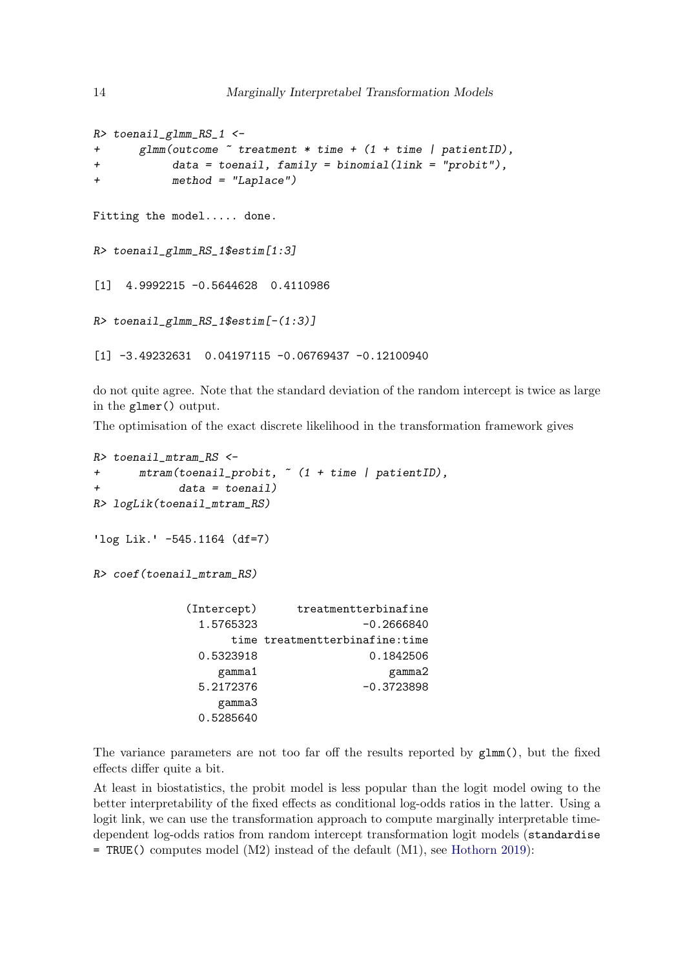```
R> toenail_glmm_RS_1 <-
+ glmm(outcome ~ treatment * time + (1 + time | patientID),
+ data = toenail, family = binomial(link = "probit"),
+ method = "Laplace")
Fitting the model..... done.
R> toenail_glmm_RS_1$estim[1:3]
[1] 4.9992215 -0.5644628 0.4110986
R> toenail_glmm_RS_1$estim[-(1:3)]
[1] -3.49232631 0.04197115 -0.06769437 -0.12100940
```
do not quite agree. Note that the standard deviation of the random intercept is twice as large in the glmer() output.

The optimisation of the exact discrete likelihood in the transformation framework gives

```
R> toenail_mtram_RS <-
+ mtram(toenail_probit, ~ (1 + time | patientID),
+ data = toenail)
R> logLik(toenail_mtram_RS)
'log Lik.' -545.1164 (df=7)
R> coef(toenail_mtram_RS)
           (Intercept) treatmentterbinafine
             1.5765323 -0.2666840
                 time treatmentterbinafine:time
             0.5323918 0.1842506
               gamma1 gamma2
             5.2172376 -0.3723898
               gamma3
             0.5285640
```
The variance parameters are not too far off the results reported by glmm(), but the fixed effects differ quite a bit.

At least in biostatistics, the probit model is less popular than the logit model owing to the better interpretability of the fixed effects as conditional log-odds ratios in the latter. Using a logit link, we can use the transformation approach to compute marginally interpretable timedependent log-odds ratios from random intercept transformation logit models (standardise = TRUE() computes model (M2) instead of the default (M1), see [Hothorn 2019\)](#page-25-0):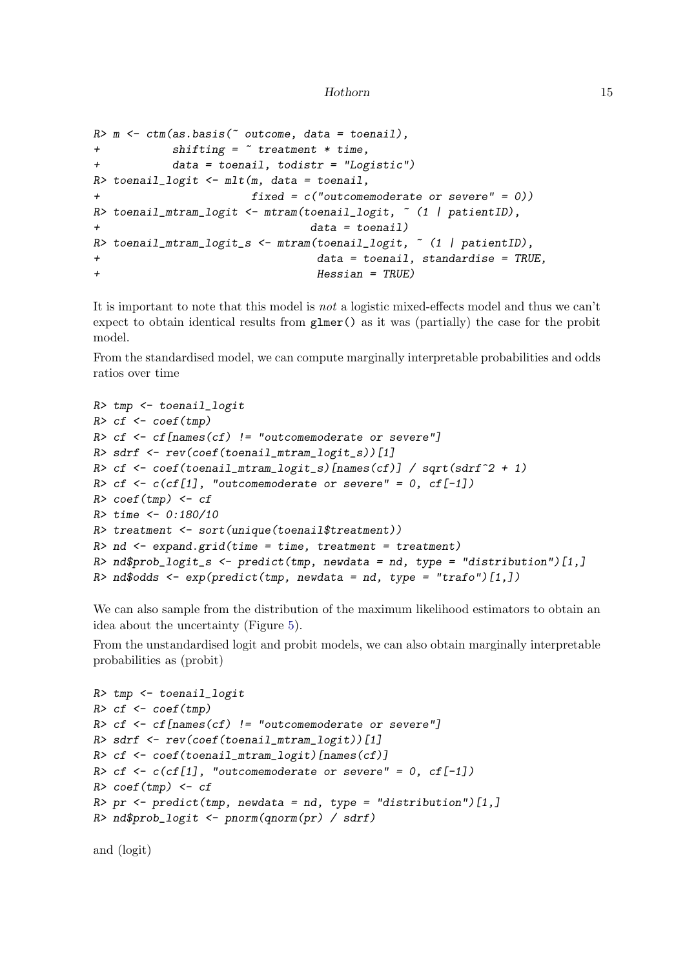```
R> m <- ctm(as.basis(~ outcome, data = toenail),
+ shifting = ~ treatment * time,
         + data = toenail, todistr = "Logistic")
R> toenail_logit <- mlt(m, data = toenail,
+ fixed = c("outcomemoderate or severe" = 0))
R> toenail_mtram_logit <- mtram(toenail_logit, ~ (1 | patientID),
+ data = toenail)
R> toenail_mtram_logit_s <- mtram(toenail_logit, ~ (1 | patientID),
+ data = toenail, standardise = TRUE,
+ Hessian = TRUE)
```
It is important to note that this model is *not* a logistic mixed-effects model and thus we can't expect to obtain identical results from glmer() as it was (partially) the case for the probit model.

From the standardised model, we can compute marginally interpretable probabilities and odds ratios over time

```
R> tmp <- toenail_logit
R> cf <- coef(tmp)
R> cf <- cf[names(cf) != "outcomemoderate or severe"]
R> sdrf <- rev(coef(toenail_mtram_logit_s))[1]
R> cf <- coef(toenail_mtram_logit_s)[names(cf)] / sqrt(sdrf^2 + 1)
R> cf <- c(cf[1], "outcomemoderate or severe" = 0, cf[-1])
R> coef(tmp) <- cf
R> time <- 0:180/10
R> treatment <- sort(unique(toenail$treatment))
R> nd <- expand.grid(time = time, treatment = treatment)
R> nd$prob_logit_s <- predict(tmp, newdata = nd, type = "distribution")[1,]
R> nd$odds <- exp(predict(tmp, newdata = nd, type = "trafo")[1,])
```
We can also sample from the distribution of the maximum likelihood estimators to obtain an idea about the uncertainty (Figure [5\)](#page-15-1).

From the unstandardised logit and probit models, we can also obtain marginally interpretable probabilities as (probit)

```
R> tmp <- toenail_logit
R> cf <- coef(tmp)
R> cf <- cf[names(cf) != "outcomemoderate or severe"]
R> sdrf <- rev(coef(toenail_mtram_logit))[1]
R> cf <- coef(toenail_mtram_logit)[names(cf)]
R> cf <- c(cf[1], "outcomemoderate or severe" = 0, cf[-1])
R> coef(tmp) <- cf
R> pr <- predict(tmp, newdata = nd, type = "distribution")[1,]
R> nd$prob_logit <- pnorm(qnorm(pr) / sdrf)
```

```
and (logit)
```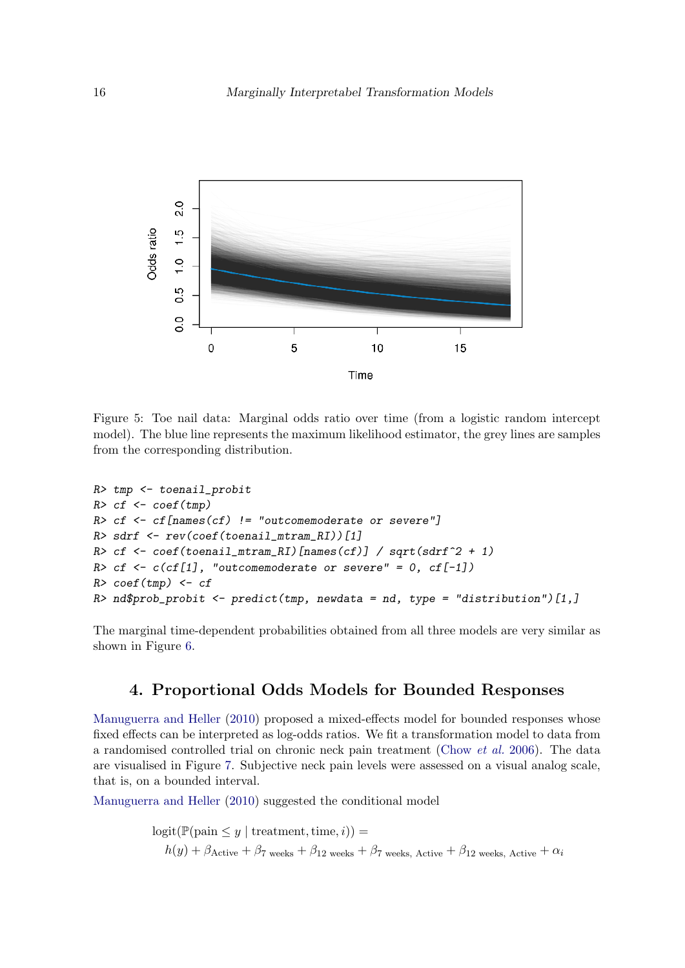

<span id="page-15-1"></span>Figure 5: Toe nail data: Marginal odds ratio over time (from a logistic random intercept model). The blue line represents the maximum likelihood estimator, the grey lines are samples from the corresponding distribution.

```
R> tmp <- toenail_probit
R> cf <- coef(tmp)
R> cf <- cf[names(cf) != "outcomemoderate or severe"]
R> sdrf <- rev(coef(toenail_mtram_RI))[1]
R> cf <- coef(toenail_mtram_RI)[names(cf)] / sqrt(sdrf^2 + 1)
R> cf <- c(cf[1], "outcomemoderate or severe" = 0, cf[-1])
R> coef(tmp) <- cf
R> nd$prob_probit <- predict(tmp, newdata = nd, type = "distribution")[1,]
```
The marginal time-dependent probabilities obtained from all three models are very similar as shown in Figure [6.](#page-16-0)

### 4. Proportional Odds Models for Bounded Responses

<span id="page-15-0"></span>[Manuguerra and Heller](#page-25-6) [\(2010\)](#page-25-6) proposed a mixed-effects model for bounded responses whose fixed effects can be interpreted as log-odds ratios. We fit a transformation model to data from a randomised controlled trial on chronic neck pain treatment [\(Chow](#page-25-7) *et al.* [2006\)](#page-25-7). The data are visualised in Figure [7.](#page-17-0) Subjective neck pain levels were assessed on a visual analog scale, that is, on a bounded interval.

[Manuguerra and Heller](#page-25-6) [\(2010\)](#page-25-6) suggested the conditional model

 $logit(\mathbb{P}(pain \leq y \mid treatment, time, i)) =$  $h(y) + \beta_{\text{Active}} + \beta_7$  weeks  $+ \beta_{12}$  weeks  $+ \beta_7$  weeks, Active  $+ \beta_{12}$  weeks, Active  $+ \alpha_i$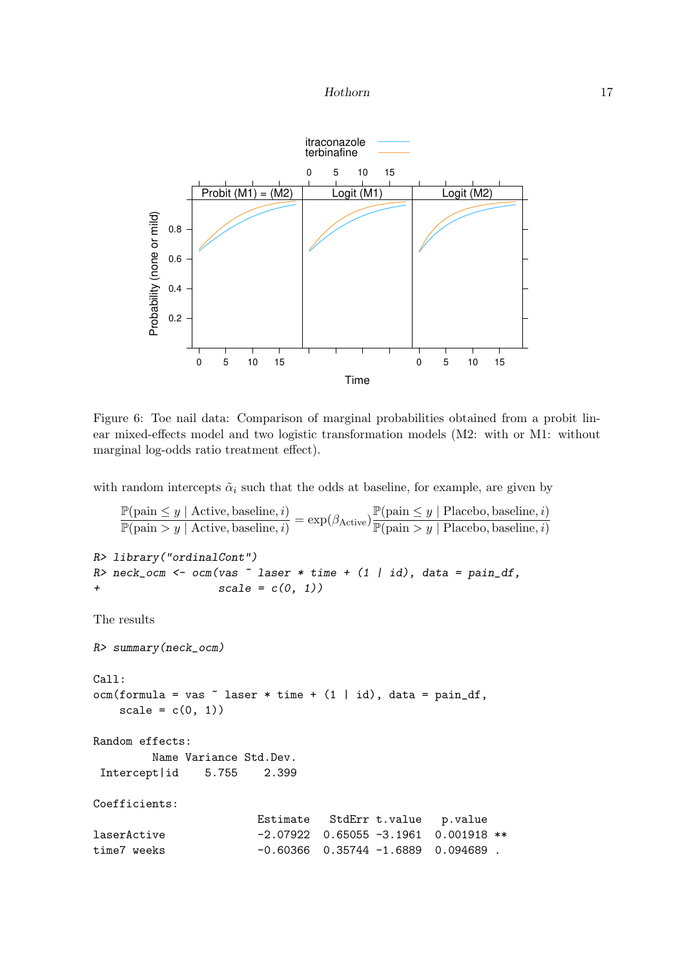

<span id="page-16-0"></span>Figure 6: Toe nail data: Comparison of marginal probabilities obtained from a probit linear mixed-effects model and two logistic transformation models (M2: with or M1: without marginal log-odds ratio treatment effect).

with random intercepts  $\tilde{\alpha}_i$  such that the odds at baseline, for example, are given by

```
\mathbb{P}(\text{pain} \leq y \mid \text{Active}, \text{baseline}, i)\frac{\mathbb{P}(\text{pain} \le y \mid \text{Active, baseline}, i)}{\mathbb{P}(\text{pain} > y \mid \text{Active, baseline}, i)} = \exp(\beta_{\text{Active}}) \frac{\mathbb{P}(\text{pain} \le y \mid \text{Placebo, baseline}, i)}{\mathbb{P}(\text{pain} > y \mid \text{Placebo, baseline}, i)}\overline{\mathbb{P}(\text{pain} > y \mid \text{Placebo}, \text{baseline}, i)}R> library("ordinalCont")
R> neck_ocm <- ocm(vas ~ laser * time + (1 | id), data = pain_df,
+ scale = c(0, 1))
The results
R> summary(neck_ocm)
Call:
ocm(formula = vas "laser * time + (1 | id), data = pain_df,scale = c(0, 1)Random effects:
             Name Variance Std.Dev.
 Intercept|id 5.755 2.399
Coefficients:
                                    Estimate StdErr t.value p.value
laserActive -2.07922 0.65055 -3.1961 0.001918 **
time7 weeks -0.60366 0.35744 -1.6889 0.094689 .
```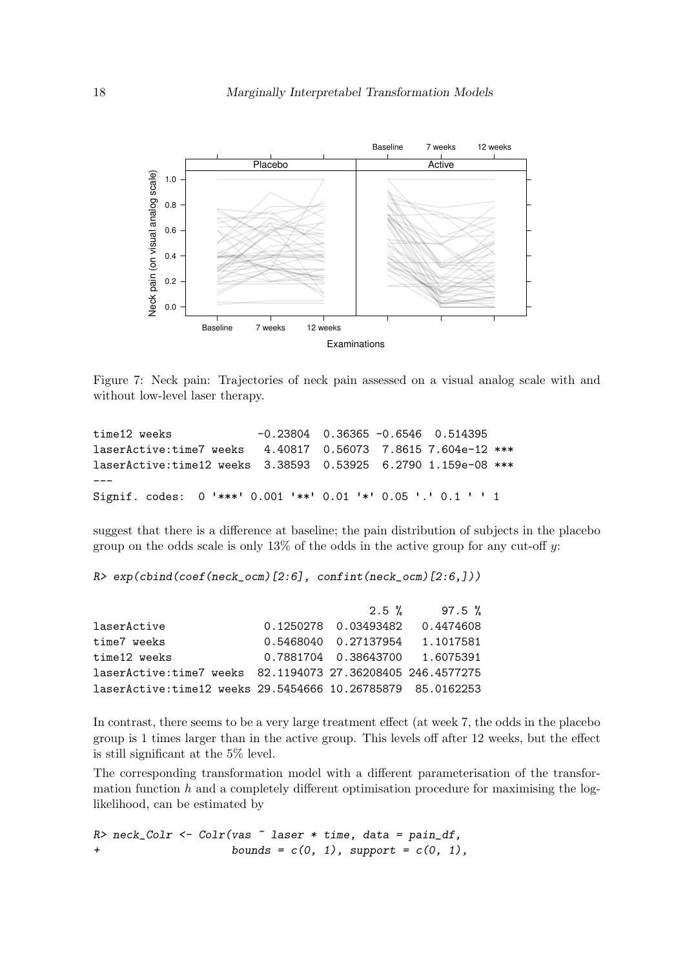

<span id="page-17-0"></span>Figure 7: Neck pain: Trajectories of neck pain assessed on a visual analog scale with and without low-level laser therapy.

```
time12 weeks -0.23804 0.36365 -0.6546 0.514395
laserActive:time7 weeks 4.40817 0.56073 7.8615 7.604e-12 ***
laserActive:time12 weeks 3.38593 0.53925 6.2790 1.159e-08 ***
---
Signif. codes: 0 '***' 0.001 '**' 0.01 '*' 0.05 '.' 0.1 ' ' 1
```
suggest that there is a difference at baseline; the pain distribution of subjects in the placebo group on the odds scale is only  $13\%$  of the odds in the active group for any cut-off y:

*R> exp(cbind(coef(neck\_ocm)[2:6], confint(neck\_ocm)[2:6,]))*

| $2.5 \%$ | 97.5 %                                                                                                                                                                 |
|----------|------------------------------------------------------------------------------------------------------------------------------------------------------------------------|
|          |                                                                                                                                                                        |
|          |                                                                                                                                                                        |
|          |                                                                                                                                                                        |
|          |                                                                                                                                                                        |
|          |                                                                                                                                                                        |
|          | 0.1250278  0.03493482  0.4474608<br>0.5468040  0.27137954  1.1017581<br>0.7881704  0.38643700  1.6075391<br>laserActive:time7 weeks 82.1194073 27.36208405 246.4577275 |

In contrast, there seems to be a very large treatment effect (at week 7, the odds in the placebo group is 1 times larger than in the active group. This levels off after 12 weeks, but the effect is still significant at the 5% level.

The corresponding transformation model with a different parameterisation of the transformation function  $h$  and a completely different optimisation procedure for maximising the loglikelihood, can be estimated by

*R> neck\_Colr <- Colr(vas ~ laser \* time, data = pain\_df, + bounds = c(0, 1), support = c(0, 1),*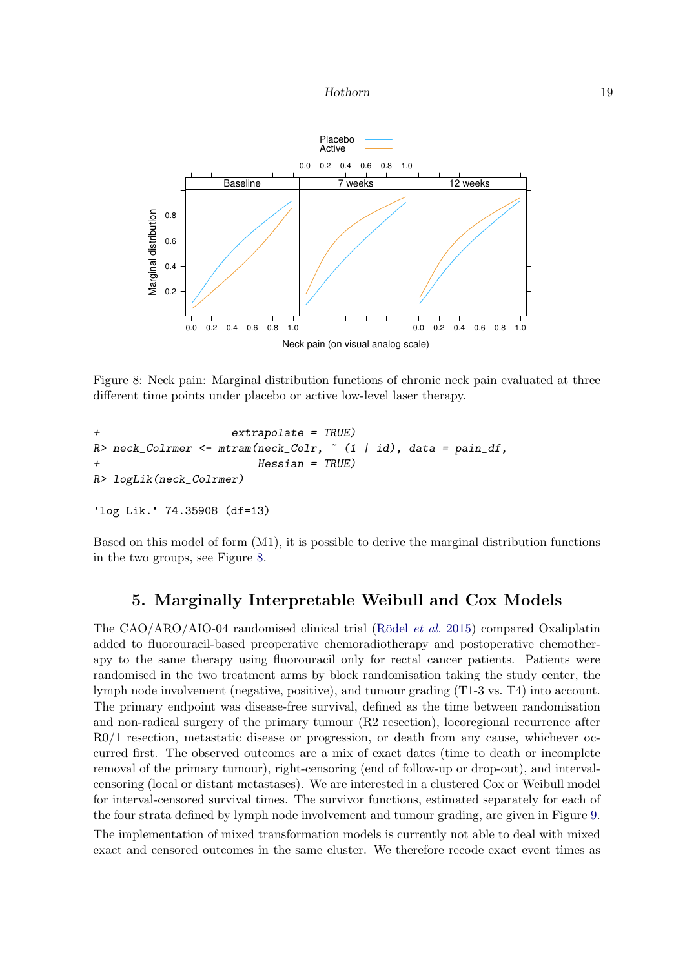

<span id="page-18-0"></span>Figure 8: Neck pain: Marginal distribution functions of chronic neck pain evaluated at three different time points under placebo or active low-level laser therapy.

```
+ extrapolate = TRUE)
R> neck_Colrmer <- mtram(neck_Colr, ~ (1 | id), data = pain_df,
                      + Hessian = TRUE)
R> logLik(neck_Colrmer)
```

```
'log Lik.' 74.35908 (df=13)
```
Based on this model of form (M1), it is possible to derive the marginal distribution functions in the two groups, see Figure [8.](#page-18-0)

# 5. Marginally Interpretable Weibull and Cox Models

The CAO/ARO/AIO-04 randomised clinical trial (Rödel *et al.* [2015\)](#page-25-8) compared Oxaliplatin added to fluorouracil-based preoperative chemoradiotherapy and postoperative chemotherapy to the same therapy using fluorouracil only for rectal cancer patients. Patients were randomised in the two treatment arms by block randomisation taking the study center, the lymph node involvement (negative, positive), and tumour grading (T1-3 vs. T4) into account. The primary endpoint was disease-free survival, defined as the time between randomisation and non-radical surgery of the primary tumour (R2 resection), locoregional recurrence after R0/1 resection, metastatic disease or progression, or death from any cause, whichever occurred first. The observed outcomes are a mix of exact dates (time to death or incomplete removal of the primary tumour), right-censoring (end of follow-up or drop-out), and intervalcensoring (local or distant metastases). We are interested in a clustered Cox or Weibull model for interval-censored survival times. The survivor functions, estimated separately for each of the four strata defined by lymph node involvement and tumour grading, are given in Figure [9.](#page-19-0) The implementation of mixed transformation models is currently not able to deal with mixed exact and censored outcomes in the same cluster. We therefore recode exact event times as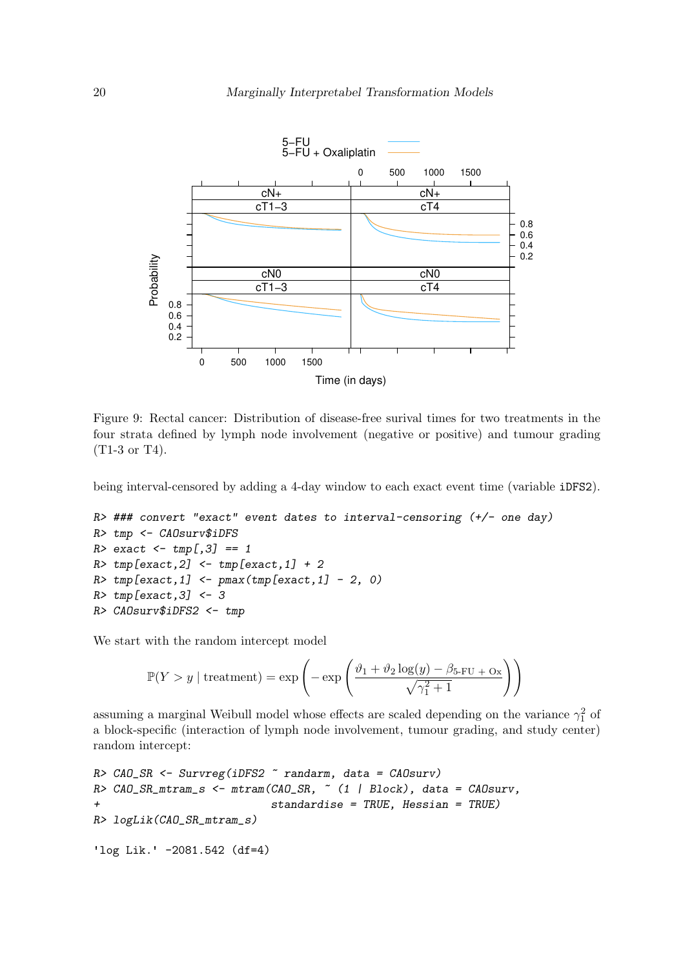

<span id="page-19-0"></span>Figure 9: Rectal cancer: Distribution of disease-free surival times for two treatments in the four strata defined by lymph node involvement (negative or positive) and tumour grading (T1-3 or T4).

being interval-censored by adding a 4-day window to each exact event time (variable iDFS2).

```
R> ### convert "exact" event dates to interval-censoring (+/- one day)
R> tmp <- CAOsurv$iDFS
R> exact <- tmp[,3] == 1
R> tmp[exact,2] <- tmp[exact,1] + 2
R> tmp[exact,1] <- pmax(tmp[exact,1] - 2, 0)
R> tmp[exact,3] <- 3
R> CAOsurv$iDFS2 <- tmp
```
We start with the random intercept model

$$
\mathbb{P}(Y > y \mid \text{treatment}) = \exp\left(-\exp\left(\frac{\vartheta_1 + \vartheta_2 \log(y) - \beta_{5\text{-FU}} + \text{Ox}}{\sqrt{\gamma_1^2 + 1}}\right)\right)
$$

assuming a marginal Weibull model whose effects are scaled depending on the variance  $\gamma_1^2$  of a block-specific (interaction of lymph node involvement, tumour grading, and study center) random intercept:

```
R> CAO_SR <- Survreg(iDFS2 ~ randarm, data = CAOsurv)
R> CAO_SR_mtram_s <- mtram(CAO_SR, ~ (1 | Block), data = CAOsurv,
+ standardise = TRUE, Hessian = TRUE)
R> logLik(CAO_SR_mtram_s)
'log Lik.' -2081.542 (df=4)
```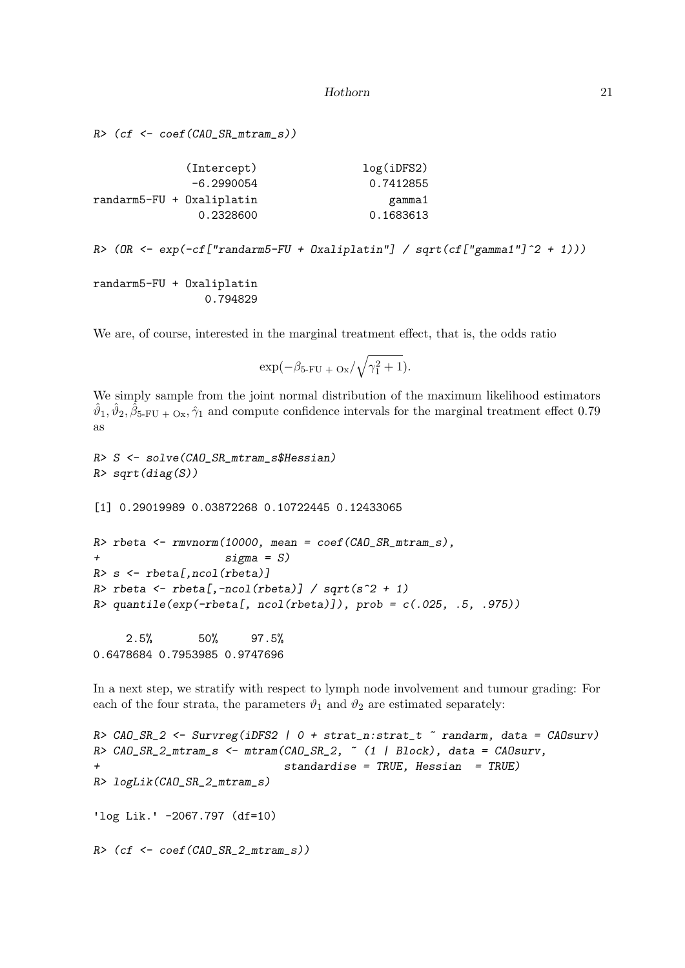```
Hothorn 21
```
*R> (cf <- coef(CAO\_SR\_mtram\_s))*

| (Intercept)               | log(iDFS2) |
|---------------------------|------------|
| $-6.2990054$              | 0.7412855  |
| randarm5-FU + Oxaliplatin | gamma1     |
| 0.2328600                 | 0.1683613  |

*R> (OR <- exp(-cf["randarm5-FU + Oxaliplatin"] / sqrt(cf["gamma1"]^2 + 1)))*

randarm5-FU + Oxaliplatin 0.794829

We are, of course, interested in the marginal treatment effect, that is, the odds ratio

$$
\exp(-\beta_{5\text{-FU}} + \text{o}_x/\sqrt{\gamma_1^2 + 1}).
$$

We simply sample from the joint normal distribution of the maximum likelihood estimators  $\hat{\vartheta}_1, \hat{\vartheta}_2, \hat{\beta}_{5\text{-FU}} + \text{O}_x, \hat{\gamma}_1$  and compute confidence intervals for the marginal treatment effect 0.79 as

```
R> S <- solve(CAO_SR_mtram_s$Hessian)
R> sqrt(diag(S))
[1] 0.29019989 0.03872268 0.10722445 0.12433065
R> rbeta <- rmvnorm(10000, mean = coef(CAO_SR_mtram_s),
+ sigma = S)
R> s <- rbeta[,ncol(rbeta)]
R> rbeta <- rbeta[,-ncol(rbeta)] / sqrt(s^2 + 1)
R> quantile(exp(-rbeta[, ncol(rbeta)]), prob = c(.025, .5, .975))
    2.5% 50% 97.5%
0.6478684 0.7953985 0.9747696
```
In a next step, we stratify with respect to lymph node involvement and tumour grading: For each of the four strata, the parameters  $\vartheta_1$  and  $\vartheta_2$  are estimated separately:

```
R> CAO_SR_2 <- Survreg(iDFS2 | 0 + strat_n:strat_t ~ randarm, data = CAOsurv)
R> CAO_SR_2_mtram_s <- mtram(CAO_SR_2, ~ (1 | Block), data = CAOsurv,
                             + standardise = TRUE, Hessian = TRUE)
R> logLik(CAO_SR_2_mtram_s)
'log Lik.' -2067.797 (df=10)
R> (cf <- coef(CAO_SR_2_mtram_s))
```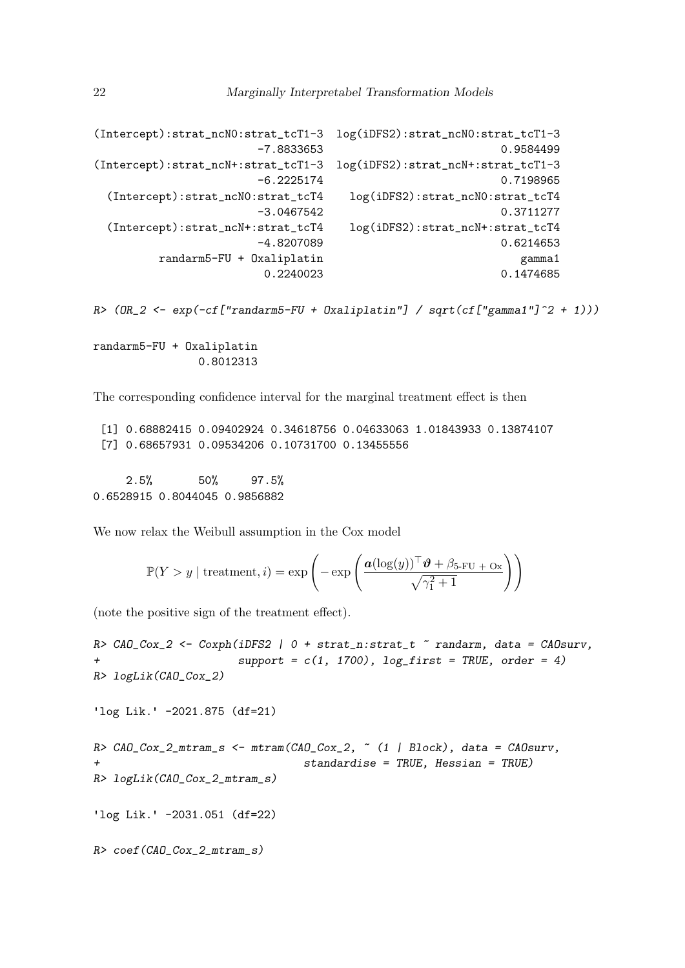```
(Intercept):strat_ncN0:strat_tcT1-3 log(iDFS2):strat_ncN0:strat_tcT1-3
                 -7.8833653 0.9584499
(Intercept):strat_ncN+:strat_tcT1-3 log(iDFS2):strat_ncN+:strat_tcT1-3
                 -6.2225174 0.7198965
 (Intercept):strat_ncN0:strat_tcT4 log(iDFS2):strat_ncN0:strat_tcT4
                 -3.0467542 0.3711277
 (Intercept):strat_ncN+:strat_tcT4 log(iDFS2):strat_ncN+:strat_tcT4
                 -4.8207089 0.6214653
      randarm5-FU + Oxaliplatin gamma1
                  0.2240023 0.1474685
```
*R> (OR\_2 <- exp(-cf["randarm5-FU + Oxaliplatin"] / sqrt(cf["gamma1"]^2 + 1)))*

randarm5-FU + Oxaliplatin 0.8012313

The corresponding confidence interval for the marginal treatment effect is then

[1] 0.68882415 0.09402924 0.34618756 0.04633063 1.01843933 0.13874107 [7] 0.68657931 0.09534206 0.10731700 0.13455556

2.5% 50% 97.5% 0.6528915 0.8044045 0.9856882

We now relax the Weibull assumption in the Cox model

$$
\mathbb{P}(Y > y \mid \text{treatment}, i) = \exp\left(-\exp\left(\frac{\boldsymbol{a}(\log(y))^\top \boldsymbol{\vartheta} + \beta_{5\text{-FU}} + \text{Ox}}{\sqrt{\gamma_1^2 + 1}}\right)\right)
$$

(note the positive sign of the treatment effect).

*R> CAO\_Cox\_2 <- Coxph(iDFS2 | 0 + strat\_n:strat\_t ~ randarm, data = CAOsurv,*  $support = c(1, 1700)$ ,  $log\_first = TRUE$ ,  $order = 4)$ *R> logLik(CAO\_Cox\_2)* 'log Lik.' -2021.875 (df=21) *R> CAO\_Cox\_2\_mtram\_s <- mtram(CAO\_Cox\_2, ~ (1 | Block), data = CAOsurv, + standardise = TRUE, Hessian = TRUE) R> logLik(CAO\_Cox\_2\_mtram\_s)* 'log Lik.' -2031.051 (df=22) *R> coef(CAO\_Cox\_2\_mtram\_s)*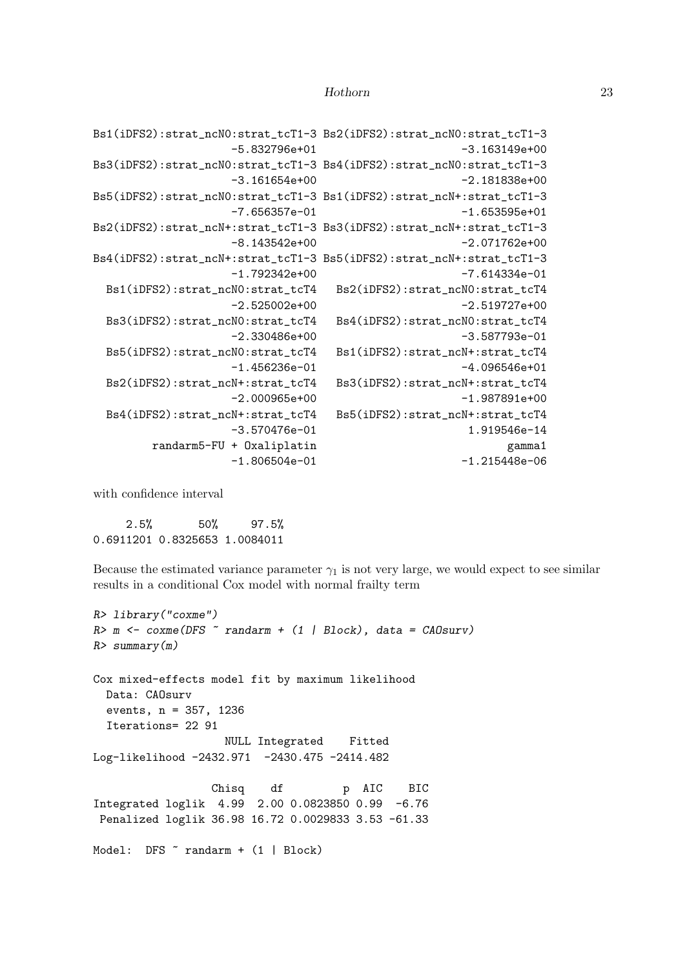```
Bs1(iDFS2):strat_ncN0:strat_tcT1-3 Bs2(iDFS2):strat_ncN0:strat_tcT1-3
                -5.832796e+01 -3.163149e+00
Bs3(iDFS2):strat_ncN0:strat_tcT1-3 Bs4(iDFS2):strat_ncN0:strat_tcT1-3
                -3.161654e+00 -2.181838e+00
Bs5(iDFS2):strat_ncN0:strat_tcT1-3 Bs1(iDFS2):strat_ncN+:strat_tcT1-3
                -7.656357e-01 -1.653595e+01
Bs2(iDFS2):strat_ncN+:strat_tcT1-3 Bs3(iDFS2):strat_ncN+:strat_tcT1-3
                -8.143542e+00 -2.071762e+00
Bs4(iDFS2):strat_ncN+:strat_tcT1-3 Bs5(iDFS2):strat_ncN+:strat_tcT1-3
                -1.792342e+00 -7.614334e-01
 Bs1(iDFS2):strat_ncN0:strat_tcT4 Bs2(iDFS2):strat_ncN0:strat_tcT4
                -2.525002e+00 -2.519727e+00
 Bs3(iDFS2):strat_ncN0:strat_tcT4 Bs4(iDFS2):strat_ncN0:strat_tcT4
                -2.330486e+00 -3.587793e-01
 Bs5(iDFS2):strat_ncN0:strat_tcT4 Bs1(iDFS2):strat_ncN+:strat_tcT4
                -1.456236e-01 -4.096546e+01Bs2(iDFS2):strat_ncN+:strat_tcT4 Bs3(iDFS2):strat_ncN+:strat_tcT4
                -2.000965e+00 -1.987891e+00
 Bs4(iDFS2):strat_ncN+:strat_tcT4 Bs5(iDFS2):strat_ncN+:strat_tcT4
                -3.570476e-01 1.919546e-14
       randarm5-FU + Oxaliplatin gamma1
                -1.806504e-01 -1.215448e-06
```
with confidence interval

2.5% 50% 97.5% 0.6911201 0.8325653 1.0084011

Because the estimated variance parameter  $\gamma_1$  is not very large, we would expect to see similar results in a conditional Cox model with normal frailty term

```
R> library("coxme")
R> m <- coxme(DFS ~ randarm + (1 | Block), data = CAOsurv)
R> summary(m)
Cox mixed-effects model fit by maximum likelihood
 Data: CAOsurv
  events, n = 357, 1236
 Iterations= 22 91
                   NULL Integrated Fitted
Log-likelihood -2432.971 -2430.475 -2414.482
                 Chisq df p AIC BIC
Integrated loglik 4.99 2.00 0.0823850 0.99 -6.76
Penalized loglik 36.98 16.72 0.0029833 3.53 -61.33
Model: DFS \tilde{ } randarm + (1 | Block)
```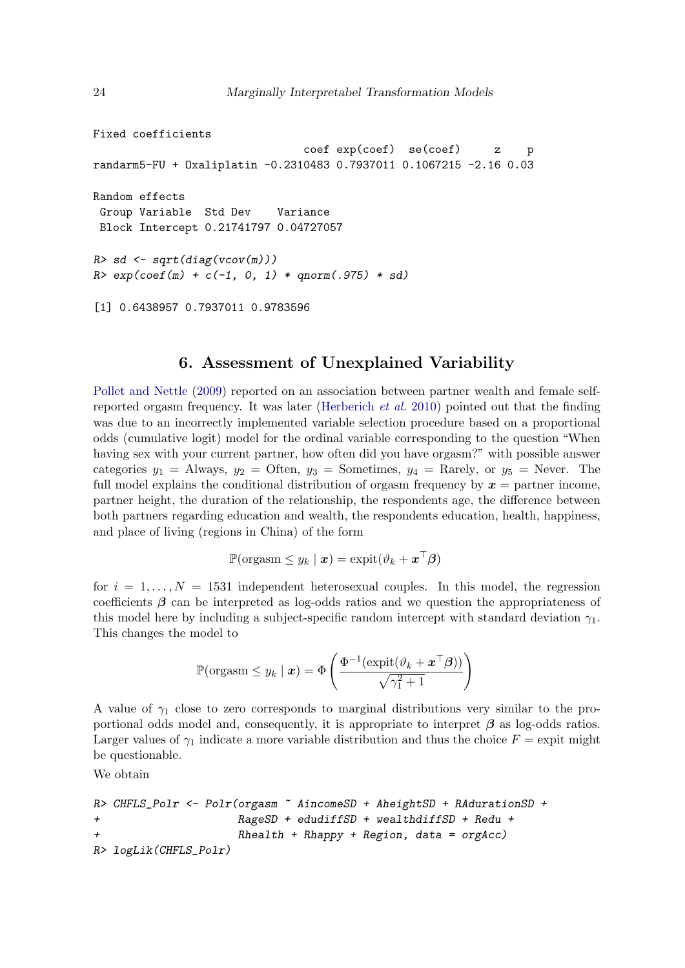```
Fixed coefficients
                               coef exp(coef) se(coef) z p
randarm5-FU + Oxaliplatin -0.2310483 0.7937011 0.1067215 -2.16 0.03
Random effects
 Group Variable Std Dev Variance
 Block Intercept 0.21741797 0.04727057
R> sd <- sqrt(diag(vcov(m)))
R> exp(coef(m) + c(-1, 0, 1) * qnorm(.975) * sd)
```
[1] 0.6438957 0.7937011 0.9783596

### 6. Assessment of Unexplained Variability

[Pollet and Nettle](#page-25-9) [\(2009\)](#page-25-9) reported on an association between partner wealth and female selfreported orgasm frequency. It was later [\(Herberich](#page-25-10) *et al.* [2010\)](#page-25-10) pointed out that the finding was due to an incorrectly implemented variable selection procedure based on a proportional odds (cumulative logit) model for the ordinal variable corresponding to the question "When having sex with your current partner, how often did you have orgasm?" with possible answer categories  $y_1$  = Always,  $y_2$  = Often,  $y_3$  = Sometimes,  $y_4$  = Rarely, or  $y_5$  = Never. The full model explains the conditional distribution of orgasm frequency by  $x =$  partner income, partner height, the duration of the relationship, the respondents age, the difference between both partners regarding education and wealth, the respondents education, health, happiness, and place of living (regions in China) of the form

$$
\mathbb{P}(\text{orgasm} \leq y_k \mid \boldsymbol{x}) = \text{expit}(\vartheta_k + \boldsymbol{x}^\top \boldsymbol{\beta})
$$

for  $i = 1, \ldots, N = 1531$  independent heterosexual couples. In this model, the regression coefficients  $\beta$  can be interpreted as log-odds ratios and we question the appropriateness of this model here by including a subject-specific random intercept with standard deviation  $\gamma_1$ . This changes the model to

$$
\mathbb{P}(\text{orgasm} \leq y_k \mid \boldsymbol{x}) = \Phi\left(\frac{\Phi^{-1}(\text{expit}(\vartheta_k + \boldsymbol{x}^\top \boldsymbol{\beta}))}{\sqrt{\gamma_1^2 + 1}}\right)
$$

A value of  $\gamma_1$  close to zero corresponds to marginal distributions very similar to the proportional odds model and, consequently, it is appropriate to interpret  $\beta$  as log-odds ratios. Larger values of  $\gamma_1$  indicate a more variable distribution and thus the choice  $F =$  expit might be questionable.

We obtain

```
R> CHFLS_Polr <- Polr(orgasm ~ AincomeSD + AheightSD + RAdurationSD +
+ RageSD + edudiffSD + wealthdiffSD + Redu +
+ Rhealth + Rhappy + Region, data = orgAcc)
R> logLik(CHFLS_Polr)
```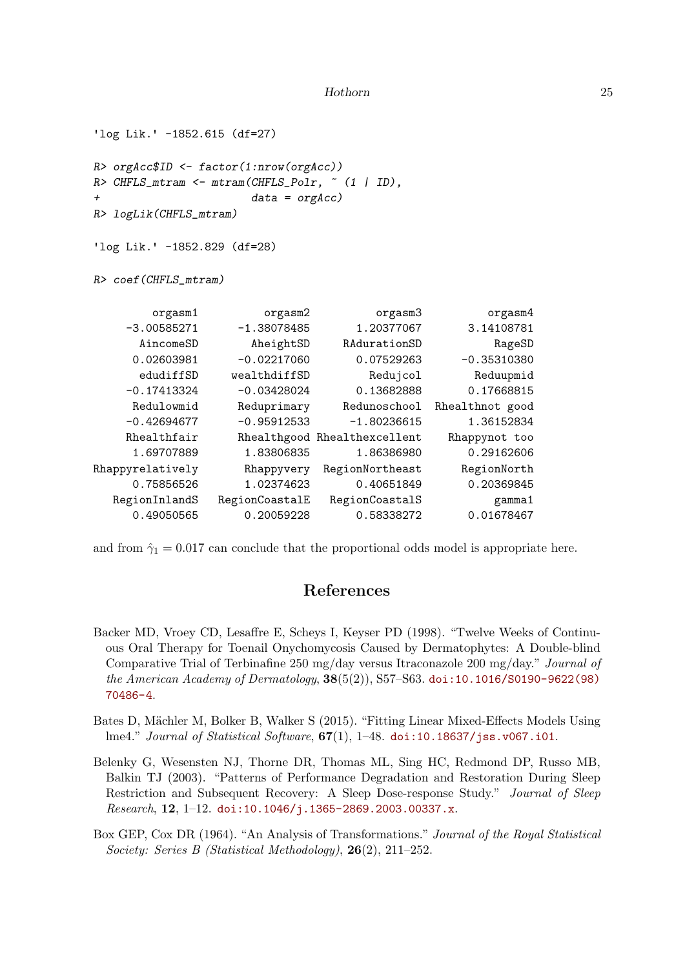```
'log Lik.' -1852.615 (df=27)
R> orgAcc$ID <- factor(1:nrow(orgAcc))
R> CHFLS_mtram <- mtram(CHFLS_Polr, ~ (1 | ID),
+ data = orgAcc)
R> logLik(CHFLS_mtram)
'log Lik.' -1852.829 (df=28)
R> coef(CHFLS_mtram)
       orgasm1 orgasm2 orgasm3 orgasm4
   -3.00585271 -1.38078485 1.20377067 3.14108781
     AincomeSD AheightSD RAdurationSD RageSD
    0.02603981 -0.02217060 0.07529263 -0.35310380
     edudiffSD wealthdiffSD Redujcol Reduupmid
    -0.17413324 -0.03428024 0.13682888 0.17668815
    Redulowmid Reduprimary Redunoschool Rhealthnot good
   -0.42694677 -0.95912533 -1.80236615 1.36152834Rhealthfair Rhealthgood Rhealthexcellent Rhappynot too
    1.69707889 1.83806835 1.86386980 0.29162606
Rhappyrelatively Rhappyvery RegionNortheast RegionNorth
    0.75856526 1.02374623 0.40651849 0.20369845
  RegionInlandS RegionCoastalE RegionCoastalS gamma1
    0.49050565 0.20059228 0.58338272 0.01678467
```
and from  $\hat{\gamma}_1 = 0.017$  can conclude that the proportional odds model is appropriate here.

# References

- <span id="page-24-3"></span>Backer MD, Vroey CD, Lesaffre E, Scheys I, Keyser PD (1998). "Twelve Weeks of Continuous Oral Therapy for Toenail Onychomycosis Caused by Dermatophytes: A Double-blind Comparative Trial of Terbinafine 250 mg/day versus Itraconazole 200 mg/day." *Journal of the American Academy of Dermatology*, 38(5(2)), S57–S63. [doi:10.1016/S0190-9622\(98\)](http://dx.doi.org/10.1016/S0190-9622(98)70486-4) [70486-4](http://dx.doi.org/10.1016/S0190-9622(98)70486-4).
- <span id="page-24-1"></span>Bates D, Mächler M, Bolker B, Walker S (2015). "Fitting Linear Mixed-Effects Models Using lme4." *Journal of Statistical Software*, 67(1), 1–48. [doi:10.18637/jss.v067.i01](http://dx.doi.org/10.18637/jss.v067.i01).
- <span id="page-24-0"></span>Belenky G, Wesensten NJ, Thorne DR, Thomas ML, Sing HC, Redmond DP, Russo MB, Balkin TJ (2003). "Patterns of Performance Degradation and Restoration During Sleep Restriction and Subsequent Recovery: A Sleep Dose-response Study." *Journal of Sleep Research*, 12, 1–12. [doi:10.1046/j.1365-2869.2003.00337.x](http://dx.doi.org/10.1046/j.1365-2869.2003.00337.x).
- <span id="page-24-2"></span>Box GEP, Cox DR (1964). "An Analysis of Transformations." *Journal of the Royal Statistical Society: Series B (Statistical Methodology)*, 26(2), 211–252.